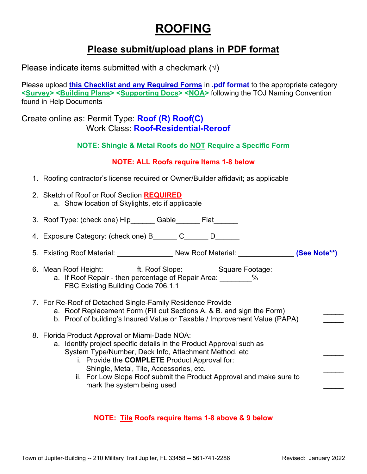# **ROOFING**

# **Please submit/upload plans in PDF format**

Please indicate items submitted with a checkmark  $(\sqrt{ } )$ 

Please upload **this Checklist and any Required Forms** in **.pdf format** to the appropriate category **<Survey> <Building Plans> <Supporting Docs> <NOA>** following the TOJ Naming Convention found in Help Documents

## Create online as: Permit Type: **Roof (R) Roof(C)** Work Class: **Roof-Residential-Reroof**

**NOTE: Shingle & Metal Roofs do NOT Require a Specific Form**

## **NOTE: ALL Roofs require Items 1-8 below**

- 1. Roofing contractor's license required or Owner/Builder affidavit; as applicable
- 2. Sketch of Roof or Roof Section **REQUIRED** a. Show location of Skylights, etc if applicable
- 3. Roof Type: (check one) Hip Gable Flat
- 4. Exposure Category: (check one) B\_\_\_\_\_\_ C\_\_\_\_\_\_ D\_\_\_\_\_\_
- 5. Existing Roof Material: \_\_\_\_\_\_\_\_\_\_\_\_\_\_ New Roof Material: \_\_\_\_\_\_\_\_\_\_\_\_\_\_ **(See Note\*\*)**
- 6. Mean Roof Height: ett. Roof Slope: Square Footage:  $\blacksquare$ a. If Roof Repair - then percentage of Repair Area: \_\_\_\_\_\_\_\_% FBC Existing Building Code 706.1.1
- 7. For Re-Roof of Detached Single-Family Residence Provide
	- a. Roof Replacement Form (Fill out Sections A. & B. and sign the Form)
	- b. Proof of building's Insured Value or Taxable / Improvement Value (PAPA)
- 8. Florida Product Approval or Miami-Dade NOA:
	- a. Identify project specific details in the Product Approval such as System Type/Number, Deck Info, Attachment Method, etc \_\_\_\_\_
		- i. Provide the **COMPLETE** Product Approval for: Shingle, Metal, Tile, Accessories, etc.
		- ii. For Low Slope Roof submit the Product Approval and make sure to mark the system being used

## **NOTE: Tile Roofs require Items 1-8 above & 9 below**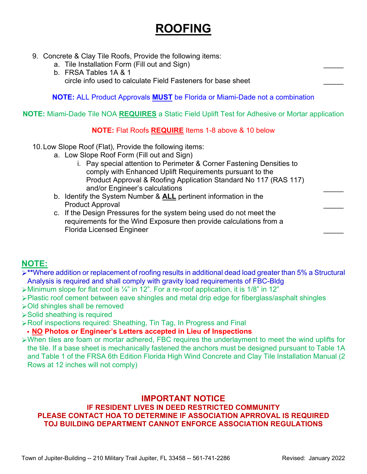# **ROOFING**

- 9. Concrete & Clay Tile Roofs, Provide the following items:
	- a. Tile Installation Form (Fill out and Sign)
	- b. FRSA Tables 1A & 1 circle info used to calculate Field Fasteners for base sheet \_\_\_\_\_

**NOTE:** ALL Product Approvals **MUST** be Florida or Miami-Dade not a combination

### **NOTE:** Miami-Dade Tile NOA **REQUIRES** a Static Field Uplift Test for Adhesive or Mortar application

#### **NOTE:** Flat Roofs **REQUIRE** Items 1-8 above & 10 below

- 10.Low Slope Roof (Flat), Provide the following items:
	- a. Low Slope Roof Form (Fill out and Sign)
		- i. Pay special attention to Perimeter & Corner Fastening Densities to comply with Enhanced Uplift Requirements pursuant to the Product Approval & Roofing Application Standard No 117 (RAS 117) and/or Engineer's calculations
	- b. Identify the System Number & **ALL** pertinent information in the Product Approval
	- c. If the Design Pressures for the system being used do not meet the requirements for the Wind Exposure then provide calculations from a Florida Licensed Engineer \_\_\_\_\_

## **NOTE:**

- **\*\***Where addition or replacement of roofing results in additional dead load greater than 5% a Structural Analysis is required and shall comply with gravity load requirements of FBC-Bldg
- $\triangleright$ Minimum slope for flat roof is  $\frac{1}{4}$ " in 12". For a re-roof application, it is 1/8" in 12"
- Plastic roof cement between eave shingles and metal drip edge for fiberglass/asphalt shingles
- Old shingles shall be removed
- Solid sheathing is required
- Roof inspections required: Sheathing, Tin Tag, In Progress and Final

#### • **NO Photos or Engineer's Letters accepted in Lieu of Inspections**

 $\triangleright$ When tiles are foam or mortar adhered, FBC requires the underlayment to meet the wind uplifts for the tile. If a base sheet is mechanically fastened the anchors must be designed pursuant to Table 1A and Table 1 of the FRSA 6th Edition Florida High Wind Concrete and Clay Tile Installation Manual (2 Rows at 12 inches will not comply)

# **IMPORTANT NOTICE**

### **IF RESIDENT LIVES IN DEED RESTRICTED COMMUNITY PLEASE CONTACT HOA TO DETERMINE IF ASSOCIATION APRROVAL IS REQUIRED TOJ BUILDING DEPARTMENT CANNOT ENFORCE ASSOCIATION REGULATIONS**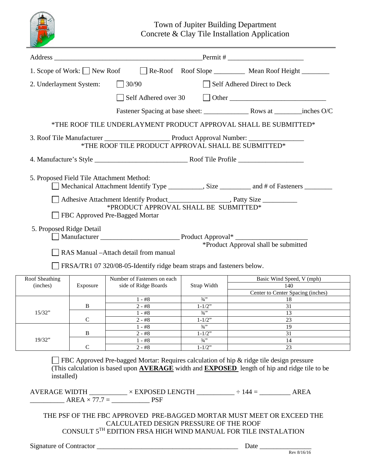

Town of Jupiter Building Department Concrete & Clay Tile Installation Application

|                            |                                           | Address Permit #                                                                                          |                    |                                      |  |
|----------------------------|-------------------------------------------|-----------------------------------------------------------------------------------------------------------|--------------------|--------------------------------------|--|
|                            |                                           | 1. Scope of Work: New Roof Re-Roof Roof Slope Mean Roof Height                                            |                    |                                      |  |
|                            | 2. Underlayment System:                   | 30/90                                                                                                     |                    | Self Adhered Direct to Deck          |  |
|                            |                                           | Self Adhered over 30                                                                                      |                    |                                      |  |
|                            |                                           |                                                                                                           |                    |                                      |  |
|                            |                                           |                                                                                                           |                    |                                      |  |
|                            |                                           | *THE ROOF TILE UNDERLAYMENT PRODUCT APPROVAL SHALL BE SUBMITTED*                                          |                    |                                      |  |
|                            |                                           | *THE ROOF TILE PRODUCT APPROVAL SHALL BE SUBMITTED*                                                       |                    |                                      |  |
|                            |                                           |                                                                                                           |                    |                                      |  |
|                            |                                           |                                                                                                           |                    |                                      |  |
|                            | 5. Proposed Field Tile Attachment Method: | Mechanical Attachment Identify Type __________, Size _________ and # of Fasteners ________                |                    |                                      |  |
|                            |                                           |                                                                                                           |                    |                                      |  |
|                            |                                           | *PRODUCT APPROVAL SHALL BE SUBMITTED*                                                                     |                    |                                      |  |
|                            |                                           | FBC Approved Pre-Bagged Mortar                                                                            |                    |                                      |  |
|                            |                                           |                                                                                                           |                    |                                      |  |
|                            | 5. Proposed Ridge Detail                  |                                                                                                           |                    |                                      |  |
|                            |                                           |                                                                                                           |                    |                                      |  |
|                            |                                           |                                                                                                           |                    | *Product Approval shall be submitted |  |
|                            |                                           | RAS Manual -Attach detail from manual                                                                     |                    |                                      |  |
|                            |                                           |                                                                                                           |                    |                                      |  |
|                            |                                           |                                                                                                           |                    |                                      |  |
|                            |                                           | FRSA/TR1 07 320/08-05-Identify ridge beam straps and fasteners below.                                     |                    |                                      |  |
|                            |                                           | Number of Fasteners on each                                                                               |                    | Basic Wind Speed, V (mph)<br>140     |  |
| Roof Sheathing<br>(inches) | Exposure                                  | side of Ridge Boards                                                                                      | Strap Width        | Center to Center Spacing (inches)    |  |
|                            |                                           | $1 - #8$                                                                                                  | $3/4$ <sup>2</sup> | 18                                   |  |
|                            | B                                         | $2 - #8$                                                                                                  | $1 - 1/2$ "        | 31                                   |  |
| 15/32"                     |                                           | $1$ - $\#8$                                                                                               | $3/4$ ''           | 13                                   |  |
|                            | $\mathbf C$                               | $2 - #8$                                                                                                  | $1 - 1/2$ "        | 23                                   |  |
|                            |                                           | $1 - #8$                                                                                                  | $3/4$ <sup>2</sup> | 19                                   |  |
|                            | B                                         | $2 - #8$                                                                                                  | $1 - 1/2$ "        | 31                                   |  |
| 19/32"                     |                                           | $1 - #8$                                                                                                  | $3/4$ <sup>*</sup> | 14                                   |  |
|                            | $\mathsf{C}$                              | $2 - #8$                                                                                                  | $1 - 1/2"$         | 23                                   |  |
|                            |                                           |                                                                                                           |                    |                                      |  |
|                            |                                           | FBC Approved Pre-bagged Mortar: Requires calculation of hip & ridge tile design pressure                  |                    |                                      |  |
|                            |                                           | (This calculation is based upon AVERAGE width and EXPOSED length of hip and ridge tile to be              |                    |                                      |  |
| installed)                 |                                           |                                                                                                           |                    |                                      |  |
|                            |                                           |                                                                                                           |                    |                                      |  |
|                            |                                           | AVERAGE WIDTH $\_\_\_\_\_\_\$ $\times$ EXPOSED LENGTH $\_\_\_\_\_\_\_$ $\div$ 144 = $\_\_\_\_\_\_\_$ AREA |                    |                                      |  |
|                            |                                           | $AREA \times 77.7 =$ PSF                                                                                  |                    |                                      |  |
|                            |                                           |                                                                                                           |                    |                                      |  |
|                            |                                           | THE PSF OF THE FBC APPROVED PRE-BAGGED MORTAR MUST MEET OR EXCEED THE                                     |                    |                                      |  |
|                            |                                           | CALCULATED DESIGN PRESSURE OF THE ROOF                                                                    |                    |                                      |  |
|                            |                                           | CONSULT 5 <sup>TH</sup> EDITION FRSA HIGH WIND MANUAL FOR TILE INSTALATION                                |                    |                                      |  |
|                            |                                           |                                                                                                           |                    |                                      |  |
|                            |                                           |                                                                                                           |                    | Date $\equiv$                        |  |

Rev 8/16/16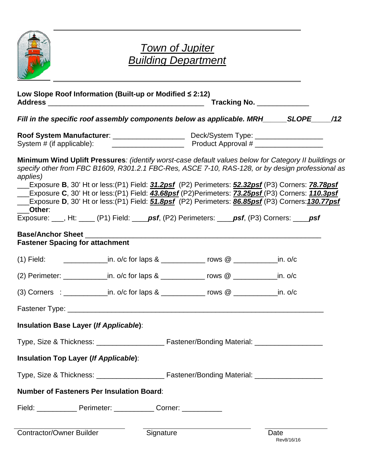

# *Town of Jupiter Building Department*

| Low Slope Roof Information (Built-up or Modified ≤ 2:12)                                                                                                                                                                                                                                                                                                                                                                                                                                                                                                      |           |                                                                                                               | Tracking No. ______________ |  |  |  |  |  |  |
|---------------------------------------------------------------------------------------------------------------------------------------------------------------------------------------------------------------------------------------------------------------------------------------------------------------------------------------------------------------------------------------------------------------------------------------------------------------------------------------------------------------------------------------------------------------|-----------|---------------------------------------------------------------------------------------------------------------|-----------------------------|--|--|--|--|--|--|
| Fill in the specific roof assembly components below as applicable. MRH______SLOPE_____/12                                                                                                                                                                                                                                                                                                                                                                                                                                                                     |           |                                                                                                               |                             |  |  |  |  |  |  |
|                                                                                                                                                                                                                                                                                                                                                                                                                                                                                                                                                               |           |                                                                                                               |                             |  |  |  |  |  |  |
| Minimum Wind Uplift Pressures: (identify worst-case default values below for Category II buildings or<br>specify other from FBC B1609, R301.2.1 FBC-Res, ASCE 7-10, RAS-128, or by design professional as<br>applies)<br>Exposure C, 30' Ht or less: (P1) Field: <b>43.68psf</b> (P2)Perimeters: <b>73.25psf</b> (P3) Corners: <b>110.3psf</b><br>Exposure D, 30' Ht or less: (P1) Field: 51.8psf (P2) Perimeters: 86.85psf (P3) Corners: 130.77psf<br>Other:<br>Exposure: ___, Ht: ____ (P1) Field: ____psf, (P2) Perimeters: ____psf, (P3) Corners: ____psf |           | Exposure B, 30' Ht or less:(P1) Field: <b>31.2psf</b> (P2) Perimeters: <b>52.32psf</b> (P3) Corners: 78.78psf |                             |  |  |  |  |  |  |
| <b>Fastener Spacing for attachment</b>                                                                                                                                                                                                                                                                                                                                                                                                                                                                                                                        |           |                                                                                                               |                             |  |  |  |  |  |  |
| (1) Field: ____________________in. o/c for laps & _______________ rows @ ______________in. o/c                                                                                                                                                                                                                                                                                                                                                                                                                                                                |           |                                                                                                               |                             |  |  |  |  |  |  |
| (2) Perimeter: ________________in. o/c for laps & _______________ rows @ ______________in. o/c                                                                                                                                                                                                                                                                                                                                                                                                                                                                |           |                                                                                                               |                             |  |  |  |  |  |  |
| (3) Corners : ______________in. o/c for laps & ______________ rows @ ____________in. o/c                                                                                                                                                                                                                                                                                                                                                                                                                                                                      |           |                                                                                                               |                             |  |  |  |  |  |  |
|                                                                                                                                                                                                                                                                                                                                                                                                                                                                                                                                                               |           |                                                                                                               |                             |  |  |  |  |  |  |
| Insulation Base Layer (If Applicable):                                                                                                                                                                                                                                                                                                                                                                                                                                                                                                                        |           |                                                                                                               |                             |  |  |  |  |  |  |
|                                                                                                                                                                                                                                                                                                                                                                                                                                                                                                                                                               |           |                                                                                                               |                             |  |  |  |  |  |  |
| Insulation Top Layer (If Applicable):                                                                                                                                                                                                                                                                                                                                                                                                                                                                                                                         |           |                                                                                                               |                             |  |  |  |  |  |  |
|                                                                                                                                                                                                                                                                                                                                                                                                                                                                                                                                                               |           |                                                                                                               |                             |  |  |  |  |  |  |
| <b>Number of Fasteners Per Insulation Board:</b>                                                                                                                                                                                                                                                                                                                                                                                                                                                                                                              |           |                                                                                                               |                             |  |  |  |  |  |  |
| Field: _______________ Perimeter: _____________ Corner: ____________                                                                                                                                                                                                                                                                                                                                                                                                                                                                                          |           |                                                                                                               |                             |  |  |  |  |  |  |
| Contractor/Owner Builder                                                                                                                                                                                                                                                                                                                                                                                                                                                                                                                                      | Signature |                                                                                                               | Date                        |  |  |  |  |  |  |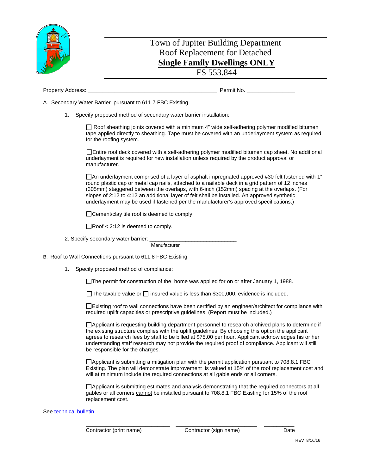

# Town of Jupiter Building Department Roof Replacement for Detached **Single Family Dwellings ONLY**

#### FS 553.844

Property Address: example and the example of the example of the example of the Permit No.

A. Secondary Water Barrier pursuant to 611.7 FBC Existing

1. Specify proposed method of secondary water barrier installation:

 $\Box$  Roof sheathing joints covered with a minimum 4" wide self-adhering polymer modified bitumen tape applied directly to sheathing. Tape must be covered with an underlayment system as required for the roofing system.

Entire roof deck covered with a self-adhering polymer modified bitumen cap sheet. No additional underlayment is required for new installation unless required by the product approval or manufacturer.

 $\Box$  An underlayment comprised of a layer of asphalt impregnated approved #30 felt fastened with 1" round plastic cap or metal cap nails, attached to a nailable deck in a grid pattern of 12 inches (305mm) staggered between the overlaps, with 6-inch (152mm) spacing at the overlaps. (For slopes of 2:12 to 4:12 an additional layer of felt shall be installed. An approved synthetic underlayment may be used if fastened per the manufacturer's approved specifications.)

□ Cement/clay tile roof is deemed to comply.

 $\Box$ Roof < 2:12 is deemed to comply.

2. Specify secondary water barrier:

**Manufacturer** 

B. Roof to Wall Connections pursuant to 611.8 FBC Existing

1. Specify proposed method of compliance:

The permit for construction of the home was applied for on or after January 1, 1988.

The taxable value or  $\Box$  insured value is less than \$300,000, evidence is included.

Existing roof to wall connections have been certified by an engineer/architect for compliance with required uplift capacities or prescriptive guidelines. (Report must be included.)

Applicant is requesting building department personnel to research archived plans to determine if the existing structure complies with the uplift guidelines. By choosing this option the applicant agrees to research fees by staff to be billed at \$75.00 per hour. Applicant acknowledges his or her understanding staff research may not provide the required proof of compliance. Applicant will still be responsible for the charges.

 $\Box$ Applicant is submitting a mitigation plan with the permit application pursuant to 708.8.1 FBC Existing. The plan will demonstrate improvement is valued at 15% of the roof replacement cost and will at minimum include the required connections at all gable ends or all corners.

Applicant is submitting estimates and analysis demonstrating that the required connectors at all gables or all corners cannot be installed pursuant to 708.8.1 FBC Existing for 15% of the roof replacement cost.

#### See technical bulletin

\_\_\_\_\_\_\_\_\_\_\_\_\_\_\_\_\_\_\_\_\_\_\_\_\_\_\_\_ \_\_\_\_\_\_\_\_\_\_\_\_\_\_\_\_\_\_\_\_\_\_\_\_\_\_\_ \_\_\_\_\_\_\_\_\_\_ Contractor (print name) Contractor (sign name) Date<br>PEV 8/16/16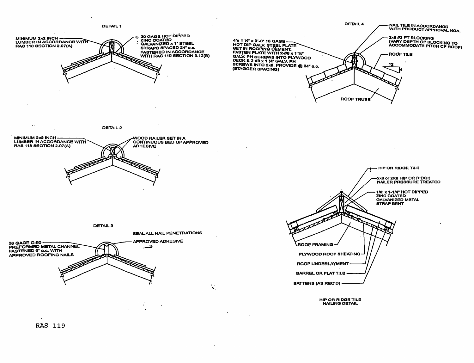

**RAS 119**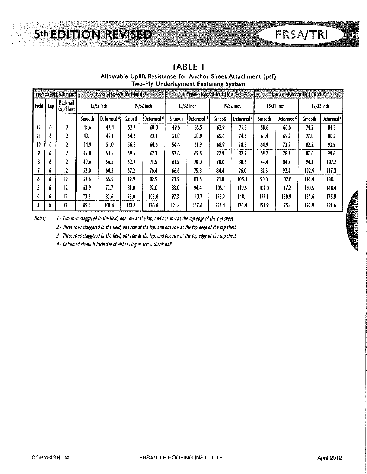# **5th EDITION REVISED**

|       | Inches on Center<br>Two - Rows in Field L |                       |        |                       |        |                       |               | Three -Rows in Field $^2$                 |                |                       | Four - Rows in Field 3 |                       |              |                       |  |  |
|-------|-------------------------------------------|-----------------------|--------|-----------------------|--------|-----------------------|---------------|-------------------------------------------|----------------|-----------------------|------------------------|-----------------------|--------------|-----------------------|--|--|
| Field | Lap                                       | Backnail<br>Cap Sheet |        | 15/32 Inch            |        | $19/32$ inch          |               | 15/32 Inch                                |                | $19/32$ inch          |                        | $15/32$ lnch          | $19/32$ inch |                       |  |  |
|       |                                           |                       | Smooth | Deformed <sup>4</sup> | Smooth | Deformed <sup>4</sup> |               | Deformed <sup>4</sup><br>Smooth<br>Smooth |                | Deformed <sup>4</sup> | Smooth                 | Deformed <sup>4</sup> | Smooth       | Deformed <sup>4</sup> |  |  |
| 12    | 6                                         | 12                    | 41.6   | 47.4                  | 52.7   | 60.0                  | 49.6          | 56.5                                      | 62.9           | 71.5                  | 58.6                   | 66.6                  | 74.2         | 84.3                  |  |  |
| Ш     | 6                                         | 12                    | 43.I   | 49.I                  | 54.6   | 62.1                  | 51.8          | 58.9<br>74.6<br>65.6                      |                |                       | 61.4                   | 69.9                  | 77.8         | 88.5                  |  |  |
| 10    | 6                                         | 12                    | 44.9   | 51.0                  | 56.8   | 64.6                  | 54.4<br>61.9  |                                           | 68.9           | 78.3                  | 64.9                   | 73.9                  |              | 93.5                  |  |  |
| 9     | 6                                         | 12                    | 47.0   | 53.5                  | 59.5   | 67.7                  | 57.6          | 65.5<br>72.9                              |                | 82.9                  | 69.2                   | 78.7                  | 87.6         | 99.6                  |  |  |
| 8     | 6                                         | 12                    | 49.6   | 56.5                  | 62.9   | 71.5                  | 61.5<br>70.0  |                                           | 78.O           | 88.6                  |                        | 744<br>84.7           |              | 107.2                 |  |  |
|       | 6                                         | I2                    | 53.0   | 60.3                  | 67.2   | 76.4                  | 66.6          | 75.8                                      | 84.4           | 96.0                  | 81.3                   | 92.4                  | 102.9        | 117.0                 |  |  |
| 6     | 6                                         | 12                    | 57.6   | 65.5                  | 72.9   | 82.9                  | 73.5          | 83.6                                      | 93.0           | 105.8                 | 90.3                   | 102.8                 | 114.4        | 130.1                 |  |  |
|       | 6                                         | 12                    | 63.9   | 72.7                  | 0.18   | 92.0                  | 83.0          | 94.4                                      | 105.1          | 119.5                 | 103.0                  | $\overline{117.2}$    | 130.5        | 148.4                 |  |  |
| 4     | 6                                         | 12.                   | 73.5   | 83.6                  | 93.0   | 105.8                 | 110.7<br>97.3 |                                           | 123.2<br>140.1 |                       | 122.1<br>138.9         |                       | 154,6        | 175.8                 |  |  |
|       | 6                                         | 12                    | 89.3   | 101.6                 | 113.2  | 128.6                 | 121.1         | 137.8                                     | 153.4          | 174.4                 | 153.9                  | 175.1                 | 194.9        | 221.6                 |  |  |

**TABLE I** Allowable Uplift Resistance for Anchor Sheet Attachment (psf) Two-Ply Underlayment Fastening System

Notes: I - Two rows staggered in the field, one row at the lap, and one row at the top edge of the cap sheet

2 - Three rows staggered in the field, one row at the lap, and one row at the top edge of the cap sheet

3 - Three rows staggered in the field, one row at the lap, and one row at the top edge of the cap sheet

4 - Deformed shank is inclusive of either ring or screw shank nail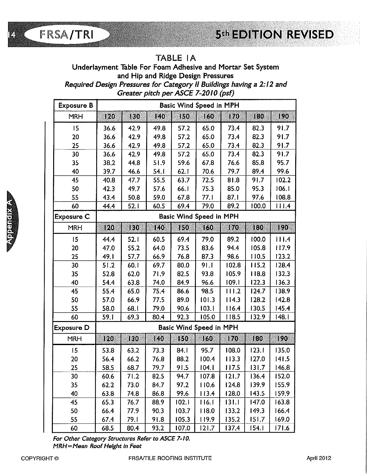## TABLE IA

Underlayment Table For Foam Adhesive and Mortar Set System and Hip and Ridge Design Pressures Required Design Pressures for Category II Buildings having a 2:12 and Greater pitch per ASCE 7-2010 (psf)

| <b>Exposure B</b> | Basic Wind Speed in MPH                                   |      |      |                         |       |                  |       |        |  |  |  |  |  |  |
|-------------------|-----------------------------------------------------------|------|------|-------------------------|-------|------------------|-------|--------|--|--|--|--|--|--|
|                   | 140<br>120<br><b>FO</b><br>150<br>160<br>170<br><b>KO</b> |      |      |                         |       |                  |       |        |  |  |  |  |  |  |
| MRH               |                                                           |      |      |                         |       |                  |       | UQO)   |  |  |  |  |  |  |
| 15                | 36.6                                                      | 42.9 | 49.8 | 57.2                    | 65.0  | 73.4             | 82.3  | 91.7   |  |  |  |  |  |  |
| 20                | 36.6                                                      | 42.9 | 49.8 | 57.2                    | 65.0  | 73.4             | 82.3  | 91.7   |  |  |  |  |  |  |
| 25                | 36.6                                                      | 42.9 | 49.8 | 57.2                    | 65.0  | 73.4             | 82.3  | 91.7   |  |  |  |  |  |  |
| 30                | 36.6                                                      | 42.9 | 49.8 | 57.2                    | 65.0  | 73.4             | 82.3  | 91.7   |  |  |  |  |  |  |
| 35                | 38.2                                                      | 44.8 | 51.9 | 59.6                    | 67.8  | 76.6             | 85.8  | 95.7   |  |  |  |  |  |  |
| 40                | 39.7                                                      | 46.6 | 54.I | 62.1                    | 70.6  | 79.7             | 89.4  | 99.6   |  |  |  |  |  |  |
| 45                | 40.8                                                      | 47.7 | 55.5 | 63.7                    | 72.5  | 81.8             | 91.7  | 102.2  |  |  |  |  |  |  |
| 50                | 42.3                                                      | 49.7 | 57.6 | 66.I                    | 75.3  | 85.0             | 95.3  | 06.1   |  |  |  |  |  |  |
| 55                | 43.4                                                      | 50.8 | 59.0 | 67.8                    | 77.1  | 87.1             | 97.6  | 108.8  |  |  |  |  |  |  |
| 60                | 44.4                                                      | 52.1 | 60.5 | 69.4                    | 79.0  | 89.2             | 100.0 | 111.4  |  |  |  |  |  |  |
| <b>Exposure C</b> |                                                           |      |      | Basic Wind Speed in MPH |       |                  |       |        |  |  |  |  |  |  |
| <b>MRH</b>        | 120                                                       | IEO  | 140  | 150                     | 160   | $\overline{170}$ | 180   | 120    |  |  |  |  |  |  |
| 15                | 44.4                                                      | 52.1 | 60.5 | 69.4                    | 79.0  | 89.2             | 100.0 | 111.4  |  |  |  |  |  |  |
| 20                | 47.0                                                      | 55.2 | 64.0 | 73.5                    | 83.6  | 94.4             | 105.8 | 117.9  |  |  |  |  |  |  |
| 25                | 49.1                                                      | 57.7 | 66.9 | 76.8                    | 87.3  | 98.6             | 110.5 | 123.2  |  |  |  |  |  |  |
| 30                | 51.2                                                      | 60.1 | 69.7 | 80.0                    | 91.1  | 102.8            | 115.2 | 128.4  |  |  |  |  |  |  |
| 35                | 52.8                                                      | 62.0 | 71.9 | 82.5                    | 93.8  | 105.9            | 118.8 | 132.3  |  |  |  |  |  |  |
| 40                | 54.4                                                      | 63.8 | 74.0 | 84.9                    | 96.6  | 109.1            | 122.3 | 136.3  |  |  |  |  |  |  |
| 45                | 55.4                                                      | 65.0 | 75.4 | 86.6                    | 98.5  | 111.2            | 124.7 | 138.9  |  |  |  |  |  |  |
| 50                | 57.0                                                      | 66.9 | 77.5 | 89.0                    | 101.3 | 114.3            | 128.2 | 142.8  |  |  |  |  |  |  |
| 55                | 58.0                                                      | 68.I | 79.0 | 90.6                    | 103.1 | 116.4            | 130.5 | 145.4  |  |  |  |  |  |  |
| 60                | 59.1                                                      | 69.3 | 80.4 | 92.3                    | 105.0 | 118.5            | 132.9 | 148. I |  |  |  |  |  |  |
| Exposure D        |                                                           |      |      | Basic Wind Speed in MPH |       |                  |       |        |  |  |  |  |  |  |
| <b>MRH</b>        | 120                                                       | 130  | 140  | 150                     | 160   | 170              | 180   | 190    |  |  |  |  |  |  |
| 15                | 53.8                                                      | 63.2 | 73.3 | 84.I                    | 95.7  | 108.0            | 123.1 | 135.0  |  |  |  |  |  |  |
| 20                | 56.4                                                      | 66.2 | 76.8 | 88.2                    | 100.4 | 113.3            | 127.0 | 141.5  |  |  |  |  |  |  |
| 25                | 58.5                                                      | 68.7 | 79.7 | 91.5                    | 104.1 | 117.5            | 131.7 | 146.8  |  |  |  |  |  |  |
| 30                | 60.6                                                      | 71.2 | 82.5 | 94.7                    | 107.8 | 121.7            | 136.4 | 152.0  |  |  |  |  |  |  |
| 35                | 62.2                                                      | 73.0 | 84.7 | 97.2                    | 110.6 | 124.8            | 139.9 | 155.9  |  |  |  |  |  |  |
| 40                | 63.8                                                      | 74.8 | 86.8 | 99.6                    | 113.4 | 128.0            | 143.5 | 159.9  |  |  |  |  |  |  |
| 45                | 65.3                                                      | 76.7 | 88.9 | 102.1                   | 116.1 | 131.1            | 147.0 | 163.8  |  |  |  |  |  |  |
| 50                | 66.4                                                      | 77.9 | 90.3 | 103.7                   | 118.0 | 133.2            | 149.3 | 166.4  |  |  |  |  |  |  |
| 55                | 67.4                                                      | 79.1 | 91.8 | 105.3                   | 119.9 | 135.2            | 151.7 | 169.0  |  |  |  |  |  |  |
| 60                | 68.5                                                      | 80.4 | 93.2 | 107.0                   | 121.7 | 137.4            | 154.1 | 171.6  |  |  |  |  |  |  |

For Other Category Structures Refer to ASCE 7-10. MRH=Mean Roof Height in Feet

**FRSA/TRI**